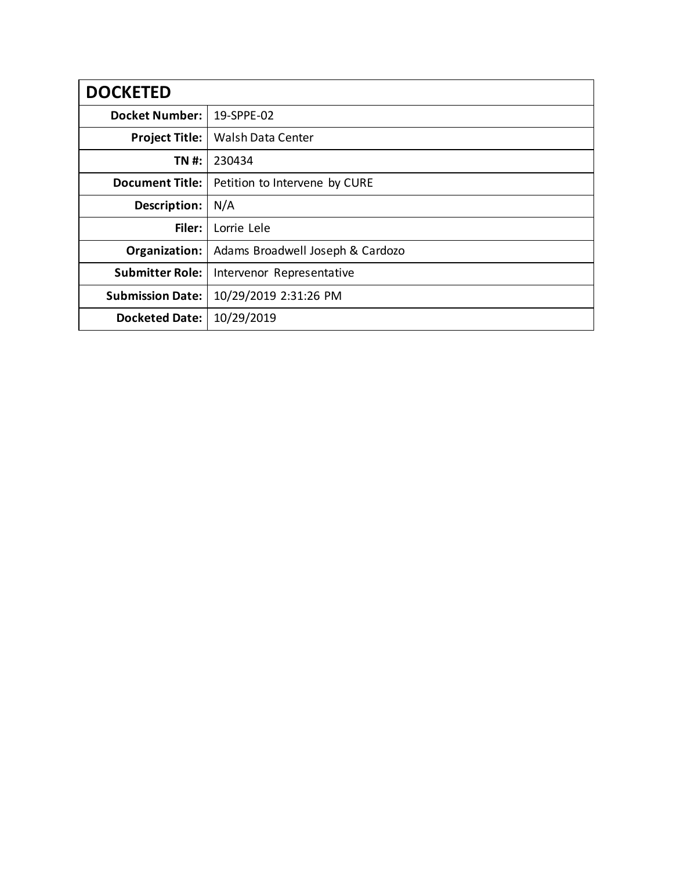| <b>DOCKETED</b>         |                                  |
|-------------------------|----------------------------------|
| <b>Docket Number:</b>   | 19-SPPE-02                       |
| <b>Project Title:</b>   | Walsh Data Center                |
| TN #:                   | 230434                           |
| <b>Document Title:</b>  | Petition to Intervene by CURE    |
| Description:            | N/A                              |
| Filer:                  | Lorrie Lele                      |
| Organization:           | Adams Broadwell Joseph & Cardozo |
| <b>Submitter Role:</b>  | Intervenor Representative        |
| <b>Submission Date:</b> | 10/29/2019 2:31:26 PM            |
| <b>Docketed Date:</b>   | 10/29/2019                       |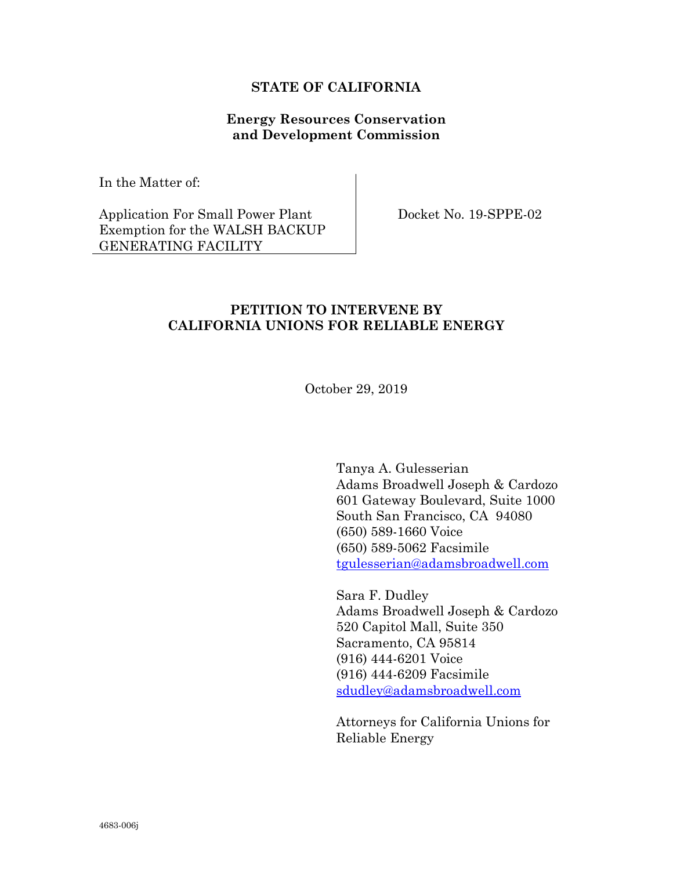## **STATE OF CALIFORNIA**

## **Energy Resources Conservation and Development Commission**

In the Matter of:

Application For Small Power Plant Exemption for the WALSH BACKUP GENERATING FACILITY

Docket No. 19-SPPE-02

## **PETITION TO INTERVENE BY CALIFORNIA UNIONS FOR RELIABLE ENERGY**

October 29, 2019

Tanya A. Gulesserian Adams Broadwell Joseph & Cardozo 601 Gateway Boulevard, Suite 1000 South San Francisco, CA 94080 (650) 589-1660 Voice (650) 589-5062 Facsimile [tgulesserian@adamsbroadwell.com](mailto:tgulesserian@adamsbroadwell.com)

Sara F. Dudley Adams Broadwell Joseph & Cardozo 520 Capitol Mall, Suite 350 Sacramento, CA 95814 (916) 444-6201 Voice (916) 444-6209 Facsimile [sdudley@adamsbroadwell.com](mailto:sdudley@adamsbroadwell.com)

Attorneys for California Unions for Reliable Energy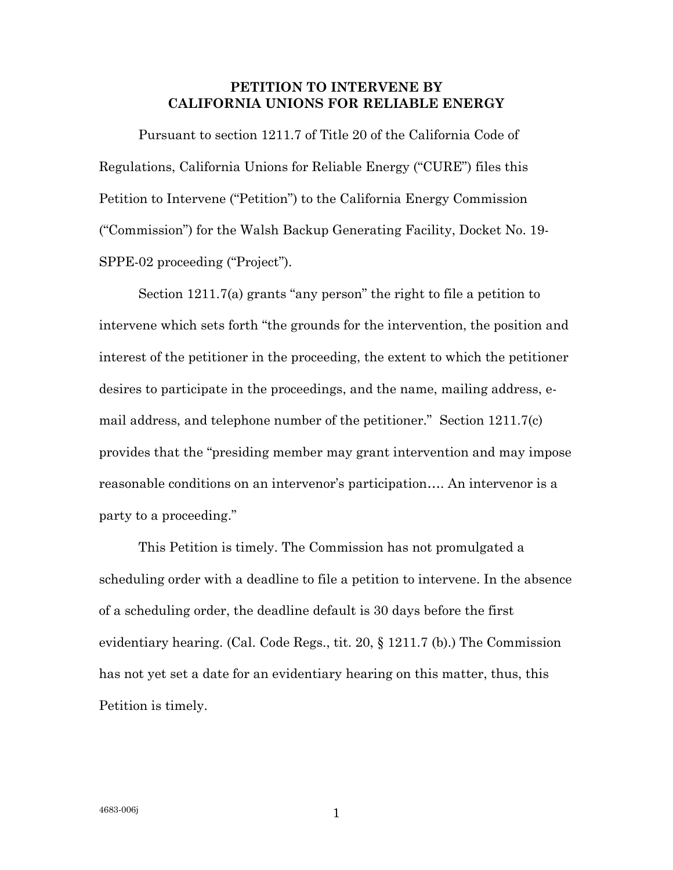## **PETITION TO INTERVENE BY CALIFORNIA UNIONS FOR RELIABLE ENERGY**

Pursuant to section 1211.7 of Title 20 of the California Code of Regulations, California Unions for Reliable Energy ("CURE") files this Petition to Intervene ("Petition") to the California Energy Commission ("Commission") for the Walsh Backup Generating Facility, Docket No. 19- SPPE-02 proceeding ("Project").

Section 1211.7(a) grants "any person" the right to file a petition to intervene which sets forth "the grounds for the intervention, the position and interest of the petitioner in the proceeding, the extent to which the petitioner desires to participate in the proceedings, and the name, mailing address, email address, and telephone number of the petitioner." Section 1211.7(c) provides that the "presiding member may grant intervention and may impose reasonable conditions on an intervenor's participation…. An intervenor is a party to a proceeding."

This Petition is timely. The Commission has not promulgated a scheduling order with a deadline to file a petition to intervene. In the absence of a scheduling order, the deadline default is 30 days before the first evidentiary hearing. (Cal. Code Regs., tit. 20, § 1211.7 (b).) The Commission has not yet set a date for an evidentiary hearing on this matter, thus, this Petition is timely.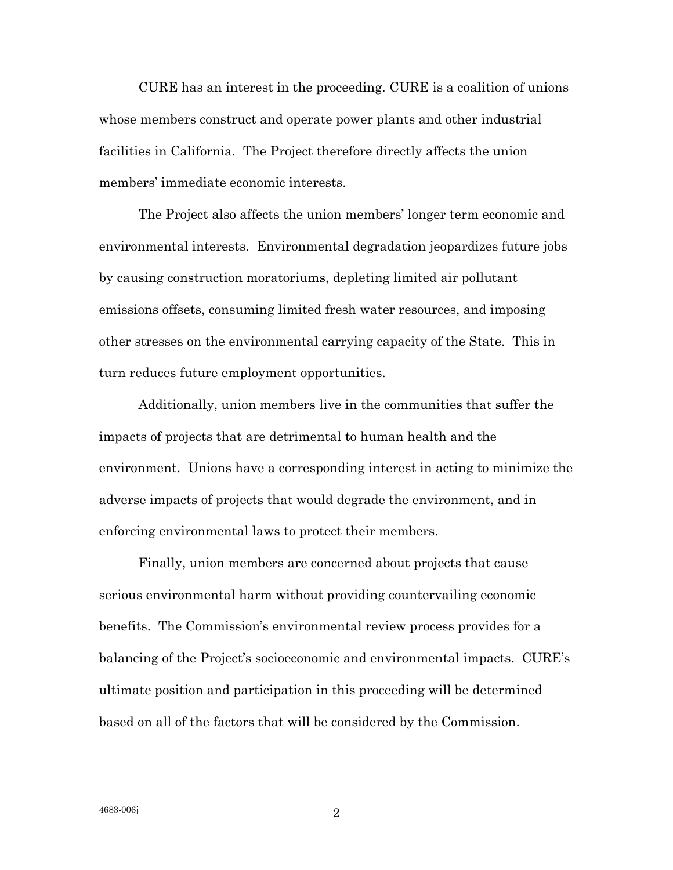CURE has an interest in the proceeding. CURE is a coalition of unions whose members construct and operate power plants and other industrial facilities in California. The Project therefore directly affects the union members' immediate economic interests.

The Project also affects the union members' longer term economic and environmental interests. Environmental degradation jeopardizes future jobs by causing construction moratoriums, depleting limited air pollutant emissions offsets, consuming limited fresh water resources, and imposing other stresses on the environmental carrying capacity of the State. This in turn reduces future employment opportunities.

Additionally, union members live in the communities that suffer the impacts of projects that are detrimental to human health and the environment. Unions have a corresponding interest in acting to minimize the adverse impacts of projects that would degrade the environment, and in enforcing environmental laws to protect their members.

Finally, union members are concerned about projects that cause serious environmental harm without providing countervailing economic benefits. The Commission's environmental review process provides for a balancing of the Project's socioeconomic and environmental impacts. CURE's ultimate position and participation in this proceeding will be determined based on all of the factors that will be considered by the Commission.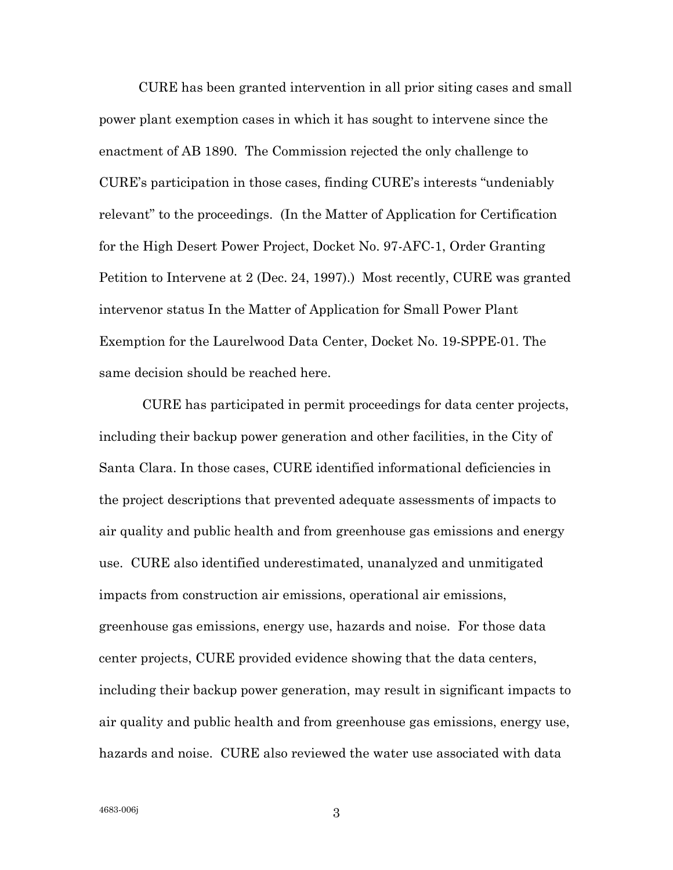CURE has been granted intervention in all prior siting cases and small power plant exemption cases in which it has sought to intervene since the enactment of AB 1890. The Commission rejected the only challenge to CURE's participation in those cases, finding CURE's interests "undeniably relevant" to the proceedings. (In the Matter of Application for Certification for the High Desert Power Project, Docket No. 97-AFC-1, Order Granting Petition to Intervene at 2 (Dec. 24, 1997).) Most recently, CURE was granted intervenor status In the Matter of Application for Small Power Plant Exemption for the Laurelwood Data Center, Docket No. 19-SPPE-01. The same decision should be reached here.

CURE has participated in permit proceedings for data center projects, including their backup power generation and other facilities, in the City of Santa Clara. In those cases, CURE identified informational deficiencies in the project descriptions that prevented adequate assessments of impacts to air quality and public health and from greenhouse gas emissions and energy use. CURE also identified underestimated, unanalyzed and unmitigated impacts from construction air emissions, operational air emissions, greenhouse gas emissions, energy use, hazards and noise. For those data center projects, CURE provided evidence showing that the data centers, including their backup power generation, may result in significant impacts to air quality and public health and from greenhouse gas emissions, energy use, hazards and noise. CURE also reviewed the water use associated with data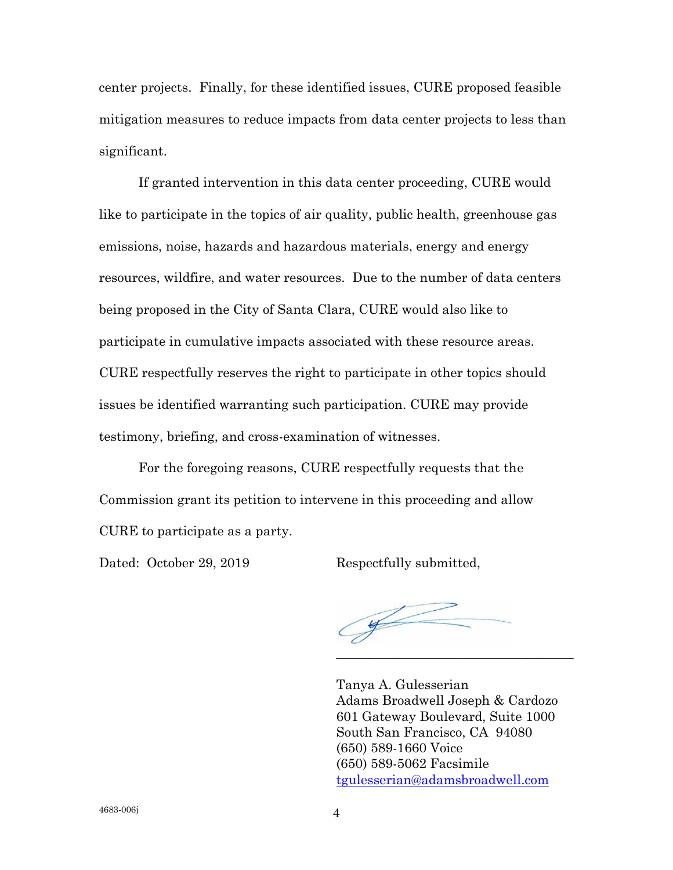center projects. Finally, for these identified issues, CURE proposed feasible mitigation measures to reduce impacts from data center projects to less than significant.

If granted intervention in this data center proceeding, CURE would like to participate in the topics of air quality, public health, greenhouse gas emissions, noise, hazards and hazardous materials, energy and energy resources, wildfire, and water resources. Due to the number of data centers being proposed in the City of Santa Clara, CURE would also like to participate in cumulative impacts associated with these resource areas. CURE respectfully reserves the right to participate in other topics should issues be identified warranting such participation. CURE may provide testimony, briefing, and cross-examination of witnesses.

For the foregoing reasons, CURE respectfully requests that the Commission grant its petition to intervene in this proceeding and allow CURE to participate as a party.

Dated: October 29, 2019 Respectfully submitted,

Com

Tanya A. Gulesserian Adams Broadwell Joseph & Cardozo 601 Gateway Boulevard, Suite 1000 South San Francisco, CA 94080 (650) 589-1660 Voice (650) 589-5062 Facsimile [tgulesserian@adamsbroadwell.com](mailto:tgulesserian@adamsbroadwell.com)

\_\_\_\_\_\_\_\_\_\_\_\_\_\_\_\_\_\_\_\_\_\_\_\_\_\_\_\_\_\_\_\_\_\_\_\_